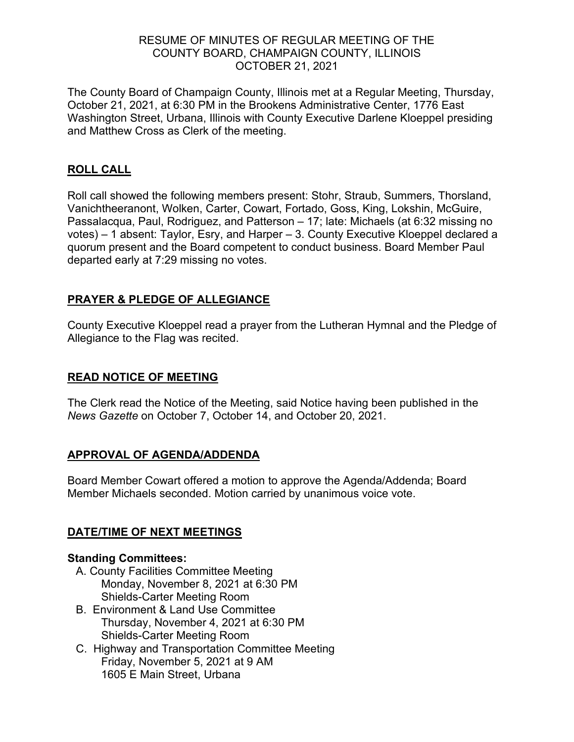#### RESUME OF MINUTES OF REGULAR MEETING OF THE COUNTY BOARD, CHAMPAIGN COUNTY, ILLINOIS OCTOBER 21, 2021

The County Board of Champaign County, Illinois met at a Regular Meeting, Thursday, October 21, 2021, at 6:30 PM in the Brookens Administrative Center, 1776 East Washington Street, Urbana, Illinois with County Executive Darlene Kloeppel presiding and Matthew Cross as Clerk of the meeting.

#### **ROLL CALL**

Roll call showed the following members present: Stohr, Straub, Summers, Thorsland, Vanichtheeranont, Wolken, Carter, Cowart, Fortado, Goss, King, Lokshin, McGuire, Passalacqua, Paul, Rodriguez, and Patterson – 17; late: Michaels (at 6:32 missing no votes) – 1 absent: Taylor, Esry, and Harper – 3. County Executive Kloeppel declared a quorum present and the Board competent to conduct business. Board Member Paul departed early at 7:29 missing no votes.

#### **PRAYER & PLEDGE OF ALLEGIANCE**

County Executive Kloeppel read a prayer from the Lutheran Hymnal and the Pledge of Allegiance to the Flag was recited.

#### **READ NOTICE OF MEETING**

The Clerk read the Notice of the Meeting, said Notice having been published in the *News Gazette* on October 7, October 14, and October 20, 2021.

#### **APPROVAL OF AGENDA/ADDENDA**

Board Member Cowart offered a motion to approve the Agenda/Addenda; Board Member Michaels seconded. Motion carried by unanimous voice vote.

#### **DATE/TIME OF NEXT MEETINGS**

#### **Standing Committees:**

- A. County Facilities Committee Meeting Monday, November 8, 2021 at 6:30 PM Shields-Carter Meeting Room
- B. Environment & Land Use Committee Thursday, November 4, 2021 at 6:30 PM Shields-Carter Meeting Room
- C. Highway and Transportation Committee Meeting Friday, November 5, 2021 at 9 AM 1605 E Main Street, Urbana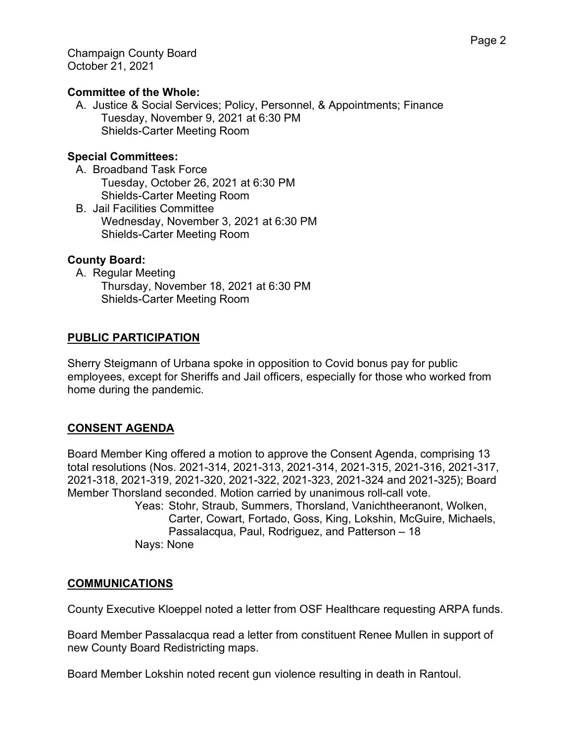#### **Committee of the Whole:**

A. Justice & Social Services; Policy, Personnel, & Appointments; Finance Tuesday, November 9, 2021 at 6:30 PM Shields-Carter Meeting Room

#### **Special Committees:**

- A. Broadband Task Force Tuesday, October 26, 2021 at 6:30 PM Shields-Carter Meeting Room
- B. Jail Facilities Committee Wednesday, November 3, 2021 at 6:30 PM Shields-Carter Meeting Room

#### **County Board:**

A. Regular Meeting Thursday, November 18, 2021 at 6:30 PM Shields-Carter Meeting Room

#### **PUBLIC PARTICIPATION**

Sherry Steigmann of Urbana spoke in opposition to Covid bonus pay for public employees, except for Sheriffs and Jail officers, especially for those who worked from home during the pandemic.

#### **CONSENT AGENDA**

Board Member King offered a motion to approve the Consent Agenda, comprising 13 total resolutions (Nos. 2021-314, 2021-313, 2021-314, 2021-315, 2021-316, 2021-317, 2021-318, 2021-319, 2021-320, 2021-322, 2021-323, 2021-324 and 2021-325); Board Member Thorsland seconded. Motion carried by unanimous roll-call vote.

Yeas: Stohr, Straub, Summers, Thorsland, Vanichtheeranont, Wolken, Carter, Cowart, Fortado, Goss, King, Lokshin, McGuire, Michaels, Passalacqua, Paul, Rodriguez, and Patterson – 18 Nays: None

#### **COMMUNICATIONS**

County Executive Kloeppel noted a letter from OSF Healthcare requesting ARPA funds.

Board Member Passalacqua read a letter from constituent Renee Mullen in support of new County Board Redistricting maps.

Board Member Lokshin noted recent gun violence resulting in death in Rantoul.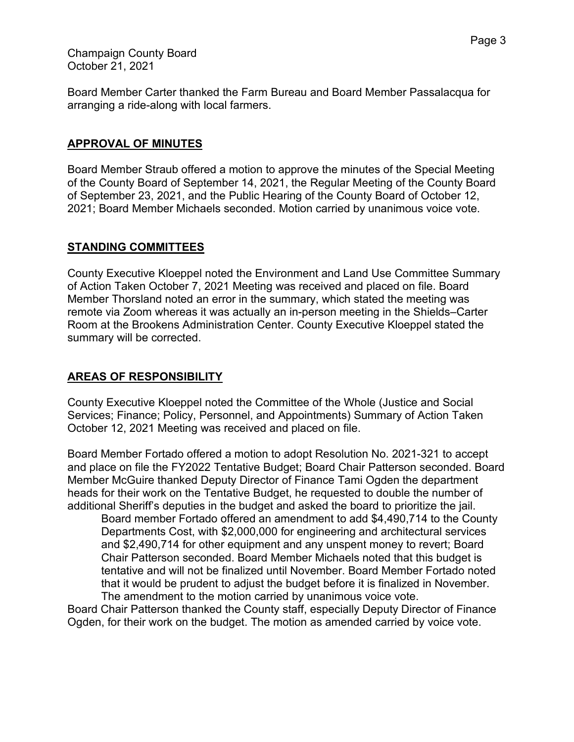Champaign County Board October 21, 2021

Board Member Carter thanked the Farm Bureau and Board Member Passalacqua for arranging a ride-along with local farmers.

#### **APPROVAL OF MINUTES**

Board Member Straub offered a motion to approve the minutes of the Special Meeting of the County Board of September 14, 2021, the Regular Meeting of the County Board of September 23, 2021, and the Public Hearing of the County Board of October 12, 2021; Board Member Michaels seconded. Motion carried by unanimous voice vote.

#### **STANDING COMMITTEES**

County Executive Kloeppel noted the Environment and Land Use Committee Summary of Action Taken October 7, 2021 Meeting was received and placed on file. Board Member Thorsland noted an error in the summary, which stated the meeting was remote via Zoom whereas it was actually an in-person meeting in the Shields–Carter Room at the Brookens Administration Center. County Executive Kloeppel stated the summary will be corrected.

#### **AREAS OF RESPONSIBILITY**

County Executive Kloeppel noted the Committee of the Whole (Justice and Social Services; Finance; Policy, Personnel, and Appointments) Summary of Action Taken October 12, 2021 Meeting was received and placed on file.

Board Member Fortado offered a motion to adopt Resolution No. 2021-321 to accept and place on file the FY2022 Tentative Budget; Board Chair Patterson seconded. Board Member McGuire thanked Deputy Director of Finance Tami Ogden the department heads for their work on the Tentative Budget, he requested to double the number of additional Sheriff's deputies in the budget and asked the board to prioritize the jail.

Board member Fortado offered an amendment to add \$4,490,714 to the County Departments Cost, with \$2,000,000 for engineering and architectural services and \$2,490,714 for other equipment and any unspent money to revert; Board Chair Patterson seconded. Board Member Michaels noted that this budget is tentative and will not be finalized until November. Board Member Fortado noted that it would be prudent to adjust the budget before it is finalized in November. The amendment to the motion carried by unanimous voice vote.

Board Chair Patterson thanked the County staff, especially Deputy Director of Finance Ogden, for their work on the budget. The motion as amended carried by voice vote.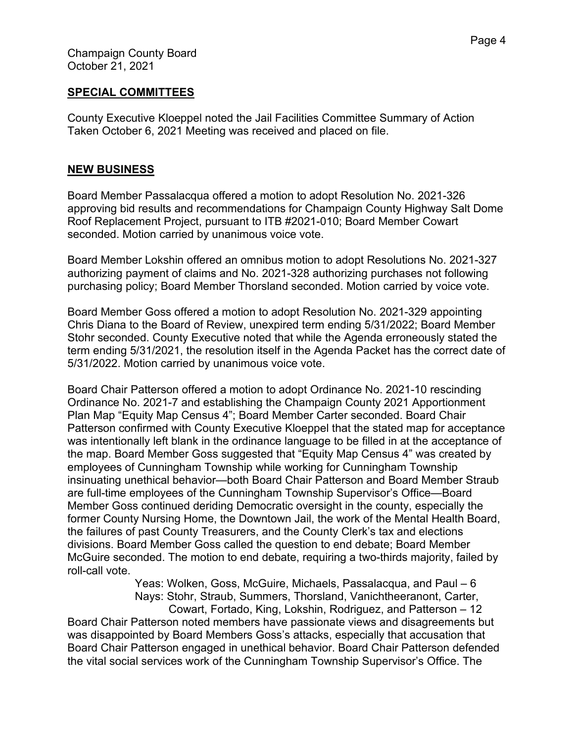#### **SPECIAL COMMITTEES**

County Executive Kloeppel noted the Jail Facilities Committee Summary of Action Taken October 6, 2021 Meeting was received and placed on file.

#### **NEW BUSINESS**

Board Member Passalacqua offered a motion to adopt Resolution No. 2021-326 approving bid results and recommendations for Champaign County Highway Salt Dome Roof Replacement Project, pursuant to ITB #2021-010; Board Member Cowart seconded. Motion carried by unanimous voice vote.

Board Member Lokshin offered an omnibus motion to adopt Resolutions No. 2021-327 authorizing payment of claims and No. 2021-328 authorizing purchases not following purchasing policy; Board Member Thorsland seconded. Motion carried by voice vote.

Board Member Goss offered a motion to adopt Resolution No. 2021-329 appointing Chris Diana to the Board of Review, unexpired term ending 5/31/2022; Board Member Stohr seconded. County Executive noted that while the Agenda erroneously stated the term ending 5/31/2021, the resolution itself in the Agenda Packet has the correct date of 5/31/2022. Motion carried by unanimous voice vote.

Board Chair Patterson offered a motion to adopt Ordinance No. 2021-10 rescinding Ordinance No. 2021-7 and establishing the Champaign County 2021 Apportionment Plan Map "Equity Map Census 4"; Board Member Carter seconded. Board Chair Patterson confirmed with County Executive Kloeppel that the stated map for acceptance was intentionally left blank in the ordinance language to be filled in at the acceptance of the map. Board Member Goss suggested that "Equity Map Census 4" was created by employees of Cunningham Township while working for Cunningham Township insinuating unethical behavior—both Board Chair Patterson and Board Member Straub are full-time employees of the Cunningham Township Supervisor's Office—Board Member Goss continued deriding Democratic oversight in the county, especially the former County Nursing Home, the Downtown Jail, the work of the Mental Health Board, the failures of past County Treasurers, and the County Clerk's tax and elections divisions. Board Member Goss called the question to end debate; Board Member McGuire seconded. The motion to end debate, requiring a two-thirds majority, failed by roll-call vote.

> Yeas: Wolken, Goss, McGuire, Michaels, Passalacqua, and Paul – 6 Nays: Stohr, Straub, Summers, Thorsland, Vanichtheeranont, Carter,

Cowart, Fortado, King, Lokshin, Rodriguez, and Patterson – 12 Board Chair Patterson noted members have passionate views and disagreements but was disappointed by Board Members Goss's attacks, especially that accusation that Board Chair Patterson engaged in unethical behavior. Board Chair Patterson defended the vital social services work of the Cunningham Township Supervisor's Office. The